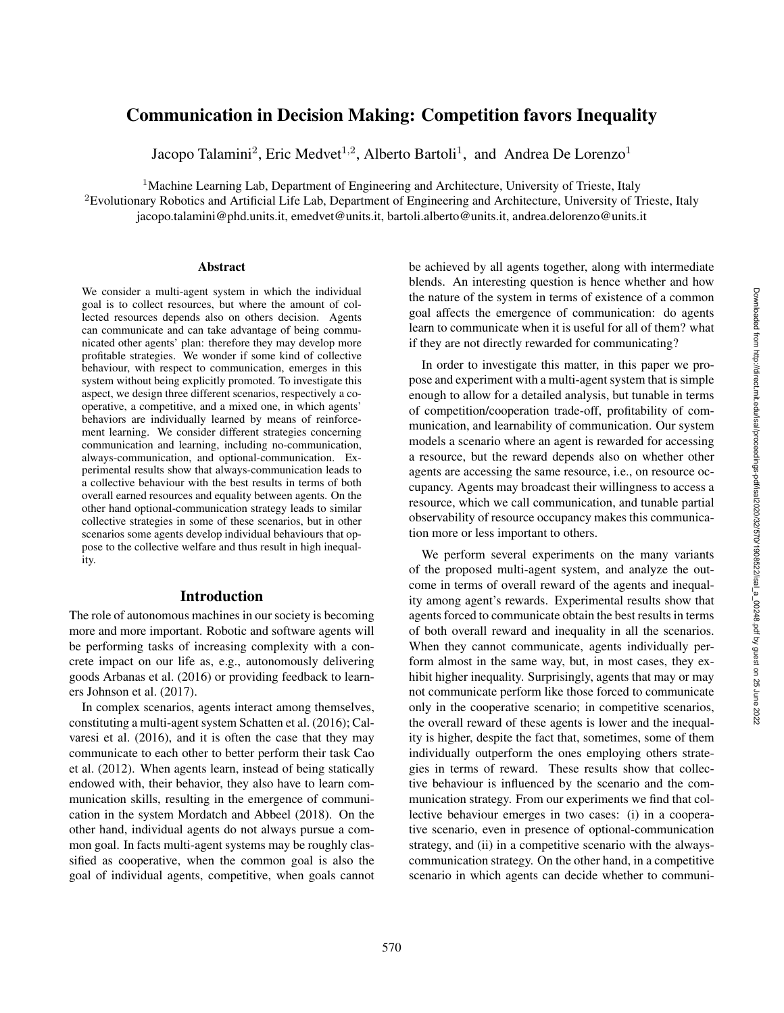# Communication in Decision Making: Competition favors Inequality

Jacopo Talamini<sup>2</sup>, Eric Medvet<sup>1,2</sup>, Alberto Bartoli<sup>1</sup>, and Andrea De Lorenzo<sup>1</sup>

<sup>1</sup>Machine Learning Lab, Department of Engineering and Architecture, University of Trieste, Italy

<sup>2</sup>Evolutionary Robotics and Artificial Life Lab, Department of Engineering and Architecture, University of Trieste, Italy jacopo.talamini@phd.units.it, emedvet@units.it, bartoli.alberto@units.it, andrea.delorenzo@units.it

#### Abstract

We consider a multi-agent system in which the individual goal is to collect resources, but where the amount of collected resources depends also on others decision. Agents can communicate and can take advantage of being communicated other agents' plan: therefore they may develop more profitable strategies. We wonder if some kind of collective behaviour, with respect to communication, emerges in this system without being explicitly promoted. To investigate this aspect, we design three different scenarios, respectively a cooperative, a competitive, and a mixed one, in which agents' behaviors are individually learned by means of reinforcement learning. We consider different strategies concerning communication and learning, including no-communication, always-communication, and optional-communication. Experimental results show that always-communication leads to a collective behaviour with the best results in terms of both overall earned resources and equality between agents. On the other hand optional-communication strategy leads to similar collective strategies in some of these scenarios, but in other scenarios some agents develop individual behaviours that oppose to the collective welfare and thus result in high inequality.

# Introduction

The role of autonomous machines in our society is becoming more and more important. Robotic and software agents will be performing tasks of increasing complexity with a concrete impact on our life as, e.g., autonomously delivering goods Arbanas et al. (2016) or providing feedback to learners Johnson et al. (2017).

In complex scenarios, agents interact among themselves, constituting a multi-agent system Schatten et al. (2016); Calvaresi et al. (2016), and it is often the case that they may communicate to each other to better perform their task Cao et al. (2012). When agents learn, instead of being statically endowed with, their behavior, they also have to learn communication skills, resulting in the emergence of communication in the system Mordatch and Abbeel (2018). On the other hand, individual agents do not always pursue a common goal. In facts multi-agent systems may be roughly classified as cooperative, when the common goal is also the goal of individual agents, competitive, when goals cannot be achieved by all agents together, along with intermediate blends. An interesting question is hence whether and how the nature of the system in terms of existence of a common goal affects the emergence of communication: do agents learn to communicate when it is useful for all of them? what if they are not directly rewarded for communicating?

In order to investigate this matter, in this paper we propose and experiment with a multi-agent system that is simple enough to allow for a detailed analysis, but tunable in terms of competition/cooperation trade-off, profitability of communication, and learnability of communication. Our system models a scenario where an agent is rewarded for accessing a resource, but the reward depends also on whether other agents are accessing the same resource, i.e., on resource occupancy. Agents may broadcast their willingness to access a resource, which we call communication, and tunable partial observability of resource occupancy makes this communication more or less important to others.

We perform several experiments on the many variants of the proposed multi-agent system, and analyze the outcome in terms of overall reward of the agents and inequality among agent's rewards. Experimental results show that agents forced to communicate obtain the best results in terms of both overall reward and inequality in all the scenarios. When they cannot communicate, agents individually perform almost in the same way, but, in most cases, they exhibit higher inequality. Surprisingly, agents that may or may not communicate perform like those forced to communicate only in the cooperative scenario; in competitive scenarios, the overall reward of these agents is lower and the inequality is higher, despite the fact that, sometimes, some of them individually outperform the ones employing others strategies in terms of reward. These results show that collective behaviour is influenced by the scenario and the communication strategy. From our experiments we find that collective behaviour emerges in two cases: (i) in a cooperative scenario, even in presence of optional-communication strategy, and (ii) in a competitive scenario with the alwayscommunication strategy. On the other hand, in a competitive scenario in which agents can decide whether to communi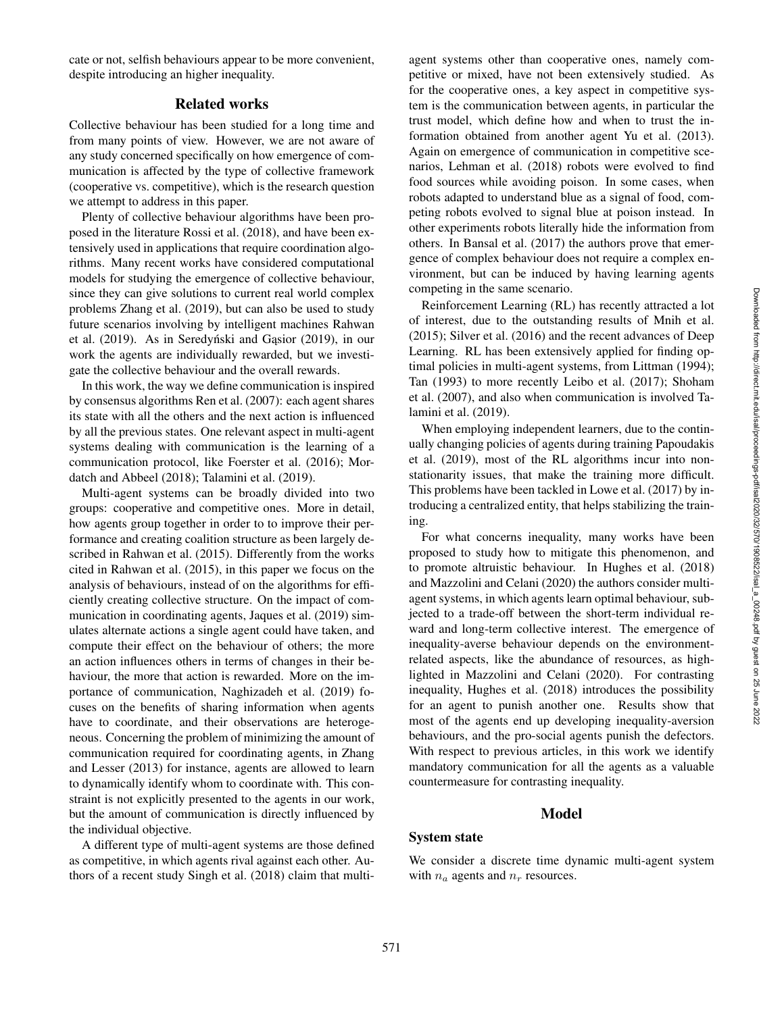cate or not, selfish behaviours appear to be more convenient, despite introducing an higher inequality.

# Related works

Collective behaviour has been studied for a long time and from many points of view. However, we are not aware of any study concerned specifically on how emergence of communication is affected by the type of collective framework (cooperative vs. competitive), which is the research question we attempt to address in this paper.

Plenty of collective behaviour algorithms have been proposed in the literature Rossi et al. (2018), and have been extensively used in applications that require coordination algorithms. Many recent works have considered computational models for studying the emergence of collective behaviour, since they can give solutions to current real world complex problems Zhang et al. (2019), but can also be used to study future scenarios involving by intelligent machines Rahwan et al.  $(2019)$ . As in Seredyński and Gasior  $(2019)$ , in our work the agents are individually rewarded, but we investigate the collective behaviour and the overall rewards.

In this work, the way we define communication is inspired by consensus algorithms Ren et al. (2007): each agent shares its state with all the others and the next action is influenced by all the previous states. One relevant aspect in multi-agent systems dealing with communication is the learning of a communication protocol, like Foerster et al. (2016); Mordatch and Abbeel (2018); Talamini et al. (2019).

Multi-agent systems can be broadly divided into two groups: cooperative and competitive ones. More in detail, how agents group together in order to to improve their performance and creating coalition structure as been largely described in Rahwan et al. (2015). Differently from the works cited in Rahwan et al. (2015), in this paper we focus on the analysis of behaviours, instead of on the algorithms for efficiently creating collective structure. On the impact of communication in coordinating agents, Jaques et al. (2019) simulates alternate actions a single agent could have taken, and compute their effect on the behaviour of others; the more an action influences others in terms of changes in their behaviour, the more that action is rewarded. More on the importance of communication, Naghizadeh et al. (2019) focuses on the benefits of sharing information when agents have to coordinate, and their observations are heterogeneous. Concerning the problem of minimizing the amount of communication required for coordinating agents, in Zhang and Lesser (2013) for instance, agents are allowed to learn to dynamically identify whom to coordinate with. This constraint is not explicitly presented to the agents in our work, but the amount of communication is directly influenced by the individual objective.

A different type of multi-agent systems are those defined as competitive, in which agents rival against each other. Authors of a recent study Singh et al. (2018) claim that multi-

agent systems other than cooperative ones, namely competitive or mixed, have not been extensively studied. As for the cooperative ones, a key aspect in competitive system is the communication between agents, in particular the trust model, which define how and when to trust the information obtained from another agent Yu et al. (2013). Again on emergence of communication in competitive scenarios, Lehman et al. (2018) robots were evolved to find food sources while avoiding poison. In some cases, when robots adapted to understand blue as a signal of food, competing robots evolved to signal blue at poison instead. In other experiments robots literally hide the information from others. In Bansal et al. (2017) the authors prove that emergence of complex behaviour does not require a complex environment, but can be induced by having learning agents competing in the same scenario.

Reinforcement Learning (RL) has recently attracted a lot of interest, due to the outstanding results of Mnih et al. (2015); Silver et al. (2016) and the recent advances of Deep Learning. RL has been extensively applied for finding optimal policies in multi-agent systems, from Littman (1994); Tan (1993) to more recently Leibo et al. (2017); Shoham et al. (2007), and also when communication is involved Talamini et al. (2019).

When employing independent learners, due to the continually changing policies of agents during training Papoudakis et al. (2019), most of the RL algorithms incur into nonstationarity issues, that make the training more difficult. This problems have been tackled in Lowe et al. (2017) by introducing a centralized entity, that helps stabilizing the training.

For what concerns inequality, many works have been proposed to study how to mitigate this phenomenon, and to promote altruistic behaviour. In Hughes et al. (2018) and Mazzolini and Celani (2020) the authors consider multiagent systems, in which agents learn optimal behaviour, subjected to a trade-off between the short-term individual reward and long-term collective interest. The emergence of inequality-averse behaviour depends on the environmentrelated aspects, like the abundance of resources, as highlighted in Mazzolini and Celani (2020). For contrasting inequality, Hughes et al. (2018) introduces the possibility for an agent to punish another one. Results show that most of the agents end up developing inequality-aversion behaviours, and the pro-social agents punish the defectors. With respect to previous articles, in this work we identify mandatory communication for all the agents as a valuable countermeasure for contrasting inequality.

# Model

# System state

We consider a discrete time dynamic multi-agent system with  $n_a$  agents and  $n_r$  resources.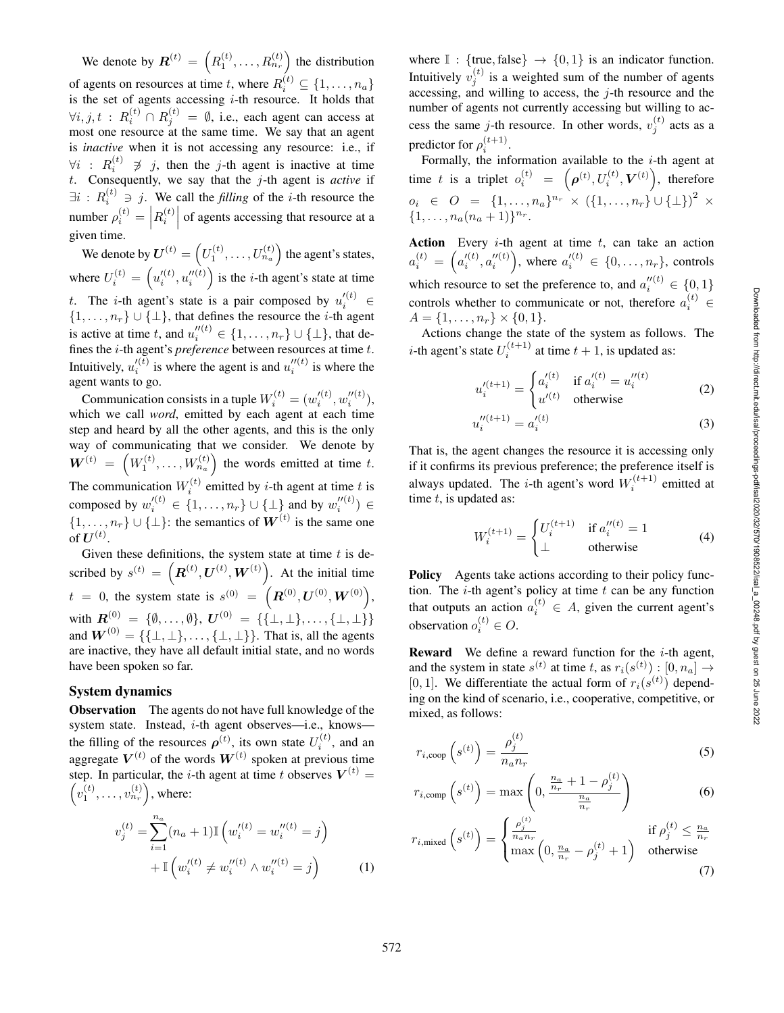We denote by  $\mathbf{R}^{(t)} = \left(R_1^{(t)}, \ldots, R_{n_r}^{(t)}\right)$  the distribution of agents on resources at time t, where  $R_i^{(t)} \subseteq \{1, \ldots, n_a\}$ is the set of agents accessing  $i$ -th resource. It holds that  $\forall i, j, t : R_i^{(t)} \cap R_j^{(t)} = \emptyset$ , i.e., each agent can access at most one resource at the same time. We say that an agent is *inactive* when it is not accessing any resource: i.e., if  $∀i$  :  $R_i^{(t)}$   $\ncong$  *j*, then the *j*-th agent is inactive at time *t*. Consequently, we say that the *j*-th agent is *active* if  $\exists i : R_i^{(t)} \ni j$ . We call the *filling* of the *i*-th resource the number  $\rho_i^{(t)} = \left| R_i^{(t)} \right|$  of agents accessing that resource at a given time.

We denote by  $\boldsymbol{U}^{(t)} = \left(U_1^{(t)}, \ldots, U_{n_a}^{(t)}\right)$  the agent's states, where  $U_i^{(t)} = (u_i''^{(t)}, u_i''^{(t)})$  is the *i*-th agent's state at time t. The *i*-th agent's state is a pair composed by  $u_i'^{(t)} \in$  $\{1, \ldots, n_r\} \cup \{\perp\}$ , that defines the resource the *i*-th agent is active at time t, and  $u_i''^{(t)} \in \{1, ..., n_r\} \cup \{\perp\}$ , that defines the i-th agent's *preference* between resources at time t. Intuitively,  $u_i^{\prime(t)}$  is where the agent is and  $u_i^{\prime\prime(t)}$  is where the agent wants to go.

Communication consists in a tuple  $W_i^{(t)} = (w_i^{\prime (t)}, w_i^{\prime \prime (t)}),$ which we call *word*, emitted by each agent at each time step and heard by all the other agents, and this is the only way of communicating that we consider. We denote by  $\boldsymbol{W}^{(t)} = \left( W_1^{(t)}, \ldots, W_{n_a}^{(t)} \right)$  the words emitted at time t. The communication  $W_i^{(t)}$  emitted by *i*-th agent at time *t* is composed by  $w_i^{\prime(t)} \in \{1, \ldots, n_r\} \cup \{\perp\}$  and by  $w_i^{\prime \prime(t)} \in$  $\{1, \ldots, n_r\} \cup \{\perp\}$ : the semantics of  $W^{(t)}$  is the same one of  $\boldsymbol{U}^{(t)}.$ 

Given these definitions, the system state at time  $t$  is described by  $s^{(t)} = (R^{(t)}, U^{(t)}, W^{(t)})$ . At the initial time  $t = 0$ , the system state is  $s^{(0)} = (R^{(0)}, U^{(0)}, W^{(0)})$ , with  $\bm{R}^{(0)}_{(0)} = \{\emptyset, \ldots, \emptyset\}, \, \bm{U}^{(0)} = \{\{\perp, \perp\}, \ldots, \{\perp, \perp\}\}\,$ and  $\mathbf{W}^{(0)} = {\{\{\perp, \perp\}, \dots, \{\perp, \perp\}\}}$ . That is, all the agents are inactive, they have all default initial state, and no words have been spoken so far.

### System dynamics

Observation The agents do not have full knowledge of the system state. Instead, *i*-th agent observes—i.e., knows the filling of the resources  $\rho^{(t)}$ , its own state  $U_i^{(t)}$ , and an aggregate  $V^{(t)}$  of the words  $W^{(t)}$  spoken at previous time step. In particular, the *i*-th agent at time *t* observes  $V^{(t)}$  =  $\left(v_1^{(t)},\ldots,v_{n_r}^{(t)}\right)$ , where:

$$
v_j^{(t)} = \sum_{i=1}^{n_a} (n_a + 1) \mathbb{I} \left( w_i^{\prime (t)} = w_i^{\prime \prime (t)} = j \right)
$$
  
+ 
$$
\mathbb{I} \left( w_i^{\prime (t)} \neq w_i^{\prime \prime (t)} \land w_i^{\prime \prime (t)} = j \right)
$$
 (1)

where  $\mathbb{I}:$  {true, false}  $\rightarrow$  {0, 1} is an indicator function. Intuitively  $v_j^{(t)}$  is a weighted sum of the number of agents accessing, and willing to access, the j-th resource and the number of agents not currently accessing but willing to access the same j-th resource. In other words,  $v_j^{(t)}$  acts as a predictor for  $\rho_i^{(t+1)}$ .

Formally, the information available to the  $i$ -th agent at time t is a triplet  $o_i^{(t)} = \left( \boldsymbol{\rho}^{(t)}, U_i^{(t)}, \boldsymbol{V}^{(t)} \right)$ , therefore  $o_i \in O = \{1, ..., n_a\}^{n_r} \times (\{1, ..., n_r\} \cup {\{\perp\}})^2 \times$  $\{1, \ldots, n_a(n_a+1)\}^{n_r}.$ 

Action Every  $i$ -th agent at time  $t$ , can take an action  $a_i^{(t)} = \left(a_i'^{(t)}, a_i''^{(t)}\right)$ , where  $a_i'^{(t)} \in \{0, ..., n_r\}$ , controls which resource to set the preference to, and  $a_i''^{(t)} \in \{0, 1\}$ controls whether to communicate or not, therefore  $a_i^{(t)} \in$  $A = \{1, \ldots, n_r\} \times \{0, 1\}.$ 

Actions change the state of the system as follows. The *i*-th agent's state  $U_i^{(t+1)}$  at time  $t + 1$ , is updated as:

$$
u_i'^{(t+1)} = \begin{cases} a_i'^{(t)} & \text{if } a_i'^{(t)} = u_i''^{(t)} \\ u'^{(t)} & \text{otherwise} \end{cases}
$$
 (2)

$$
u_i''^{(t+1)} = a_i'^{(t)} \tag{3}
$$

That is, the agent changes the resource it is accessing only if it confirms its previous preference; the preference itself is always updated. The *i*-th agent's word  $W_i^{(t+1)}$  emitted at time t, is updated as:

$$
W_i^{(t+1)} = \begin{cases} U_i^{(t+1)} & \text{if } a_i''^{(t)} = 1\\ \perp & \text{otherwise} \end{cases}
$$
 (4)

Policy Agents take actions according to their policy function. The  $i$ -th agent's policy at time  $t$  can be any function that outputs an action  $a_i^{(t)} \in A$ , given the current agent's observation  $o_i^{(t)} \in O$ .

**Reward** We define a reward function for the  $i$ -th agent, and the system in state  $s^{(t)}$  at time t, as  $r_i(s^{(t)})$ :  $[0, n_a] \rightarrow$ [0, 1]. We differentiate the actual form of  $r_i(s^{(t)})$  depending on the kind of scenario, i.e., cooperative, competitive, or mixed, as follows:

$$
r_{i,\text{coop}}\left(s^{(t)}\right) = \frac{\rho_j^{(t)}}{n_a n_r} \tag{5}
$$

$$
r_{i,\text{comp}}\left(s^{(t)}\right) = \max\left(0, \frac{\frac{n_a}{n_r} + 1 - \rho_j^{(t)}}{\frac{n_a}{n_r}}\right) \tag{6}
$$

$$
r_{i,\text{mixed}}\left(s^{(t)}\right) = \begin{cases} \frac{\rho_j^{(t)}}{n_a n_r} & \text{if } \rho_j^{(t)} \le \frac{n_a}{n_r} \\ \max\left(0, \frac{n_a}{n_r} - \rho_j^{(t)} + 1\right) & \text{otherwise} \end{cases}
$$
(7)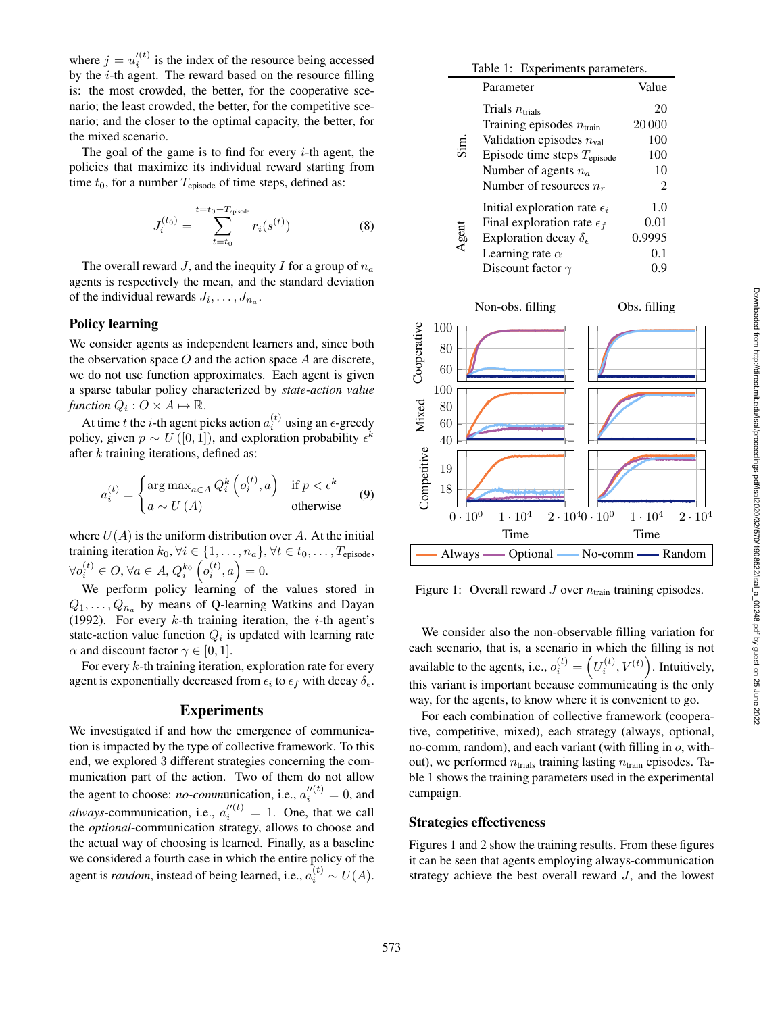where  $j = u_i'^{(t)}$  is the index of the resource being accessed by the i-th agent. The reward based on the resource filling is: the most crowded, the better, for the cooperative scenario; the least crowded, the better, for the competitive scenario; and the closer to the optimal capacity, the better, for the mixed scenario.

The goal of the game is to find for every  $i$ -th agent, the policies that maximize its individual reward starting from time  $t_0$ , for a number  $T_{\text{episode}}$  of time steps, defined as:

$$
J_i^{(t_0)} = \sum_{t=t_0}^{t=t_0 + T_{\text{episode}}} r_i(s^{(t)})
$$
 (8)

The overall reward *J*, and the inequity *I* for a group of  $n_a$ agents is respectively the mean, and the standard deviation of the individual rewards  $J_i, \ldots, J_{n_a}$ .

## Policy learning

We consider agents as independent learners and, since both the observation space  $O$  and the action space  $A$  are discrete, we do not use function approximates. Each agent is given a sparse tabular policy characterized by *state-action value* function  $Q_i: O \times A \mapsto \mathbb{R}$ .

At time t the i-th agent picks action  $a_i^{(t)}$  using an  $\epsilon$ -greedy policy, given  $p \sim U([0, 1])$ , and exploration probability  $\epsilon^k$ after k training iterations, defined as:

$$
a_i^{(t)} = \begin{cases} \arg \max_{a \in A} Q_i^k \left( o_i^{(t)}, a \right) & \text{if } p < \epsilon^k\\ a \sim U(A) & \text{otherwise} \end{cases} \tag{9}
$$

where  $U(A)$  is the uniform distribution over A. At the initial training iteration  $k_0, \forall i \in \{1, \ldots, n_a\}, \forall t \in t_0, \ldots, T_{\text{episode}},$  $\forall o_i^{(t)} \in O, \forall a \in A, Q_i^{k_0}(\rho_i^{(t)}, a) = 0.$ 

We perform policy learning of the values stored in  $Q_1, \ldots, Q_{n_a}$  by means of Q-learning Watkins and Dayan (1992). For every  $k$ -th training iteration, the *i*-th agent's state-action value function  $Q_i$  is updated with learning rate  $\alpha$  and discount factor  $\gamma \in [0, 1]$ .

For every  $k$ -th training iteration, exploration rate for every agent is exponentially decreased from  $\epsilon_i$  to  $\epsilon_f$  with decay  $\delta_{\epsilon}$ .

## Experiments

We investigated if and how the emergence of communication is impacted by the type of collective framework. To this end, we explored 3 different strategies concerning the communication part of the action. Two of them do not allow the agent to choose: *no-communication*, i.e.,  $a_i''^{(t)} = 0$ , and *always*-communication, i.e.,  $a_i''^{(t)} = 1$ . One, that we call the *optional*-communication strategy, allows to choose and the actual way of choosing is learned. Finally, as a baseline we considered a fourth case in which the entire policy of the agent is *random*, instead of being learned, i.e.,  $a_i^{(t)} \sim U(A)$ .

| Table 1: Experiments parameters. |                                         |        |
|----------------------------------|-----------------------------------------|--------|
| Parameter                        |                                         | Value  |
| Sim.                             | Trials $n_{\text{trials}}$              | 20     |
|                                  | Training episodes $n_{\text{train}}$    | 20 000 |
|                                  | Validation episodes $n_{\text{val}}$    | 100    |
|                                  | Episode time steps $T_{\text{episode}}$ | 100    |
|                                  | Number of agents $n_a$                  | 10     |
|                                  | Number of resources $n_r$               | 2      |
| Agent                            | Initial exploration rate $\epsilon_i$   | 1.0    |
|                                  | Final exploration rate $\epsilon_f$     | 0.01   |
|                                  | Exploration decay $\delta_{\epsilon}$   | 0.9995 |
|                                  | Learning rate $\alpha$                  | 0.1    |
|                                  | Discount factor $\gamma$                | 0.9    |



Figure 1: Overall reward  $J$  over  $n_{\text{train}}$  training episodes.

We consider also the non-observable filling variation for each scenario, that is, a scenario in which the filling is not available to the agents, i.e.,  $o_i^{(t)} = \left(U_i^{(t)}, V^{(t)}\right)$ . Intuitively, this variant is important because communicating is the only way, for the agents, to know where it is convenient to go.

For each combination of collective framework (cooperative, competitive, mixed), each strategy (always, optional, no-comm, random), and each variant (with filling in o, without), we performed  $n_{\text{trials}}$  training lasting  $n_{\text{train}}$  episodes. Table 1 shows the training parameters used in the experimental campaign.

# Strategies effectiveness

Figures 1 and 2 show the training results. From these figures it can be seen that agents employing always-communication strategy achieve the best overall reward  $J$ , and the lowest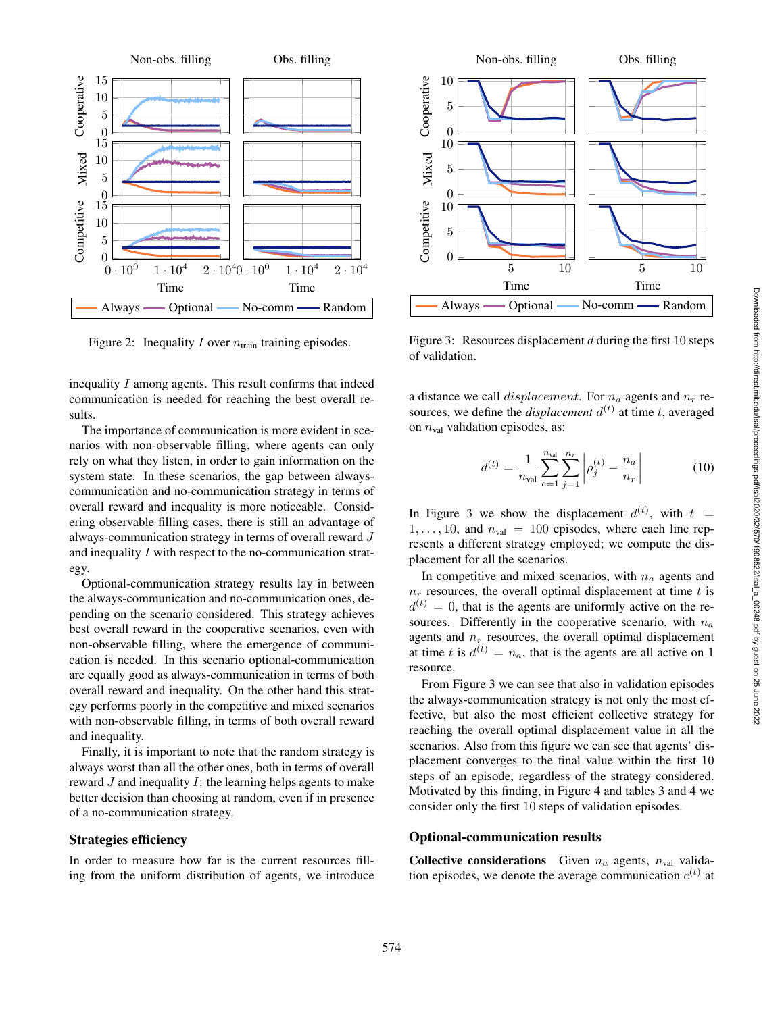

Figure 2: Inequality I over  $n_{\text{train}}$  training episodes.

inequality I among agents. This result confirms that indeed communication is needed for reaching the best overall results.

The importance of communication is more evident in scenarios with non-observable filling, where agents can only rely on what they listen, in order to gain information on the system state. In these scenarios, the gap between alwayscommunication and no-communication strategy in terms of overall reward and inequality is more noticeable. Considering observable filling cases, there is still an advantage of always-communication strategy in terms of overall reward J and inequality I with respect to the no-communication strategy.

Optional-communication strategy results lay in between the always-communication and no-communication ones, depending on the scenario considered. This strategy achieves best overall reward in the cooperative scenarios, even with non-observable filling, where the emergence of communication is needed. In this scenario optional-communication are equally good as always-communication in terms of both overall reward and inequality. On the other hand this strategy performs poorly in the competitive and mixed scenarios with non-observable filling, in terms of both overall reward and inequality.

Finally, it is important to note that the random strategy is always worst than all the other ones, both in terms of overall reward *J* and inequality *I*: the learning helps agents to make better decision than choosing at random, even if in presence of a no-communication strategy.

# Strategies efficiency

In order to measure how far is the current resources filling from the uniform distribution of agents, we introduce



Figure 3: Resources displacement  $d$  during the first 10 steps of validation.

a distance we call  $displacement$ . For  $n_a$  agents and  $n_r$  resources, we define the *displacement*  $d^{(t)}$  at time t, averaged on  $n_{val}$  validation episodes, as:

$$
d^{(t)} = \frac{1}{n_{\text{val}}} \sum_{e=1}^{n_{\text{val}}} \sum_{j=1}^{n_r} \left| \rho_j^{(t)} - \frac{n_a}{n_r} \right| \tag{10}
$$

In Figure 3 we show the displacement  $d^{(t)}$ , with  $t =$  $1, \ldots, 10$ , and  $n_{val} = 100$  episodes, where each line represents a different strategy employed; we compute the displacement for all the scenarios.

In competitive and mixed scenarios, with  $n_a$  agents and  $n_r$  resources, the overall optimal displacement at time t is  $d^{(t)} = 0$ , that is the agents are uniformly active on the resources. Differently in the cooperative scenario, with  $n_a$ agents and  $n_r$  resources, the overall optimal displacement at time t is  $d^{(t)} = n_a$ , that is the agents are all active on 1 resource.

From Figure 3 we can see that also in validation episodes the always-communication strategy is not only the most effective, but also the most efficient collective strategy for reaching the overall optimal displacement value in all the scenarios. Also from this figure we can see that agents' displacement converges to the final value within the first 10 steps of an episode, regardless of the strategy considered. Motivated by this finding, in Figure 4 and tables 3 and 4 we consider only the first 10 steps of validation episodes.

#### Optional-communication results

**Collective considerations** Given  $n_a$  agents,  $n_{val}$  validation episodes, we denote the average communication  $\bar{c}^{(t)}$  at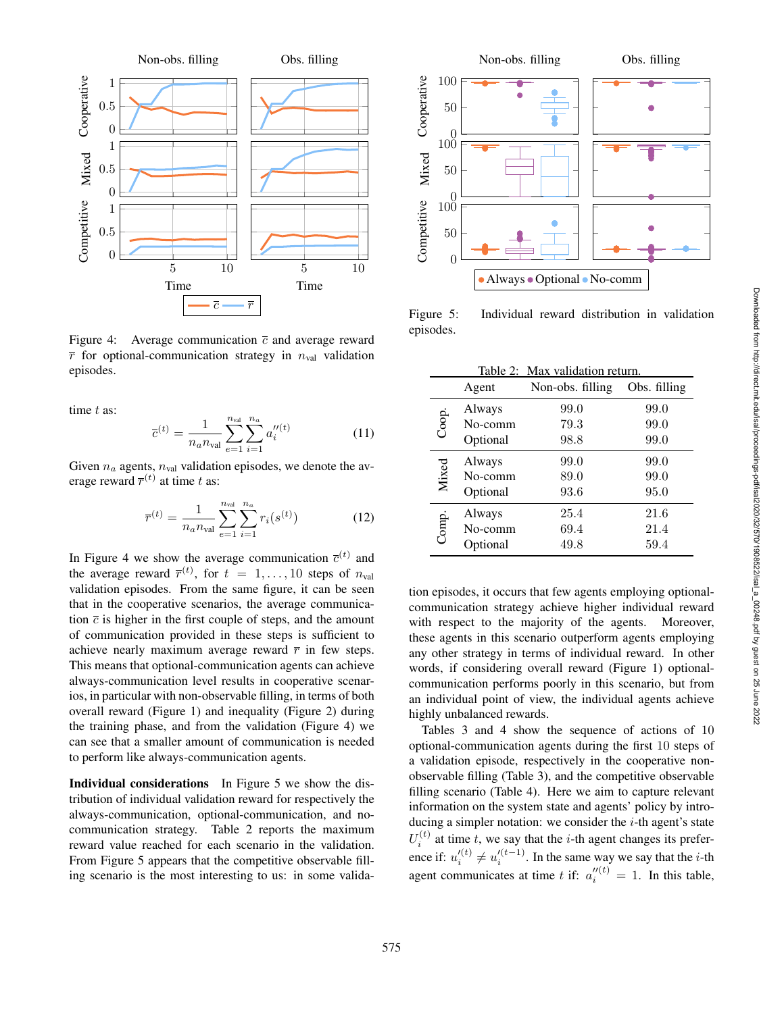

Figure 4: Average communication  $\bar{c}$  and average reward  $\bar{r}$  for optional-communication strategy in  $n_{\text{val}}$  validation episodes.

time  $t$  as:

$$
\overline{c}^{(t)} = \frac{1}{n_a n_{\text{val}}} \sum_{e=1}^{n_{\text{val}}} \sum_{i=1}^{n_a} a_i''^{(t)} \tag{11}
$$

Given  $n_a$  agents,  $n_{val}$  validation episodes, we denote the average reward  $\overline{r}^{(t)}$  at time t as:

$$
\overline{r}^{(t)} = \frac{1}{n_a n_{\text{val}}} \sum_{e=1}^{n_{\text{val}}} \sum_{i=1}^{n_a} r_i(s^{(t)}) \tag{12}
$$

In Figure 4 we show the average communication  $\overline{c}^{(t)}$  and the average reward  $\overline{r}^{(t)}$ , for  $t = 1, ..., 10$  steps of  $n_{val}$ validation episodes. From the same figure, it can be seen that in the cooperative scenarios, the average communication  $\bar{c}$  is higher in the first couple of steps, and the amount of communication provided in these steps is sufficient to achieve nearly maximum average reward  $\bar{r}$  in few steps. This means that optional-communication agents can achieve always-communication level results in cooperative scenarios, in particular with non-observable filling, in terms of both overall reward (Figure 1) and inequality (Figure 2) during the training phase, and from the validation (Figure 4) we can see that a smaller amount of communication is needed to perform like always-communication agents.

Individual considerations In Figure 5 we show the distribution of individual validation reward for respectively the always-communication, optional-communication, and nocommunication strategy. Table 2 reports the maximum reward value reached for each scenario in the validation. From Figure 5 appears that the competitive observable filling scenario is the most interesting to us: in some valida-



Figure 5: Individual reward distribution in validation episodes.

|       |          | Table 2: Max validation return. |              |
|-------|----------|---------------------------------|--------------|
|       | Agent    | Non-obs. filling                | Obs. filling |
| Coop. | Always   | 99.0                            | 99.0         |
|       | No-comm  | 79.3                            | 99.0         |
|       | Optional | 98.8                            | 99.0         |
| Mixed | Always   | 99.0                            | 99.0         |
|       | No-comm  | 89.0                            | 99.0         |
|       | Optional | 93.6                            | 95.0         |
| Comp. | Always   | 25.4                            | 21.6         |
|       | No-comm  | 69.4                            | 21.4         |
|       | Optional | 49.8                            | 59.4         |

tion episodes, it occurs that few agents employing optionalcommunication strategy achieve higher individual reward with respect to the majority of the agents. Moreover, these agents in this scenario outperform agents employing any other strategy in terms of individual reward. In other words, if considering overall reward (Figure 1) optionalcommunication performs poorly in this scenario, but from an individual point of view, the individual agents achieve highly unbalanced rewards.

Tables 3 and 4 show the sequence of actions of 10 optional-communication agents during the first 10 steps of a validation episode, respectively in the cooperative nonobservable filling (Table 3), and the competitive observable filling scenario (Table 4). Here we aim to capture relevant information on the system state and agents' policy by introducing a simpler notation: we consider the  $i$ -th agent's state  $U_i^{(t)}$  at time t, we say that the i-th agent changes its preference if:  $u_i'(t) \neq u_i'(t-1)$ . In the same way we say that the *i*-th agent communicates at time t if:  $a_i''^{(t)} = 1$ . In this table,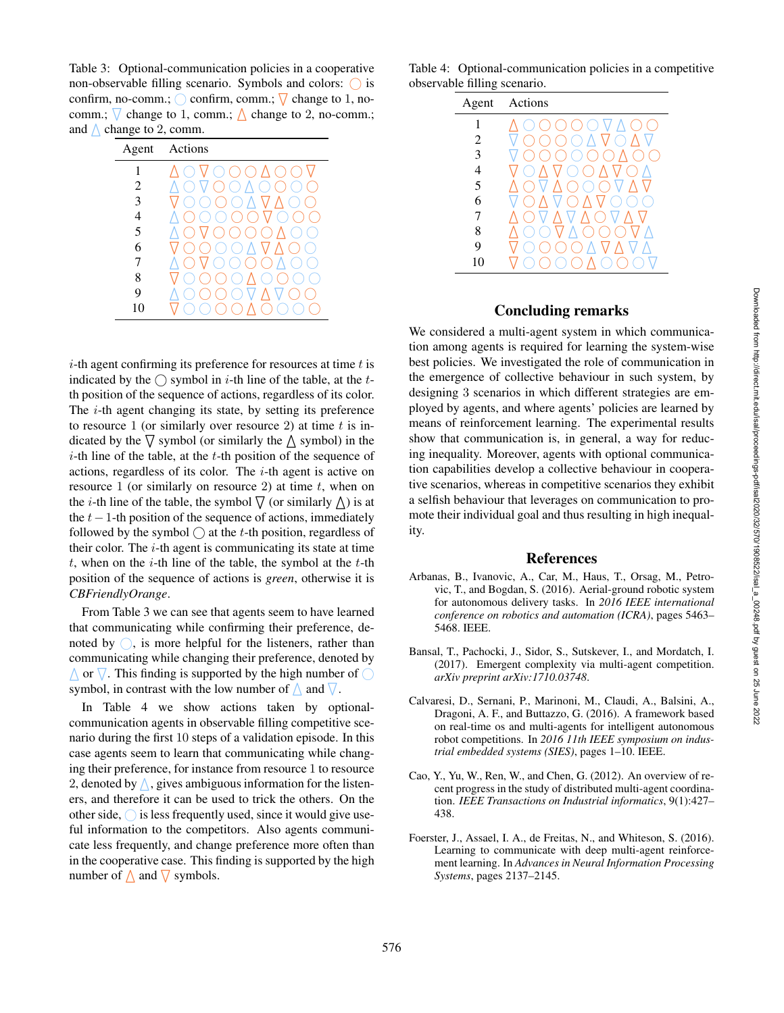Table 3: Optional-communication policies in a cooperative non-observable filling scenario. Symbols and colors:  $\bigcirc$  is confirm, no-comm.;  $\bigcirc$  confirm, comm.;  $\nabla$  change to 1, nocomm.;  $\nabla$  change to 1, comm.;  $\triangle$  change to 2, no-comm.; and  $\triangle$  change to 2, comm.

| Agent          | Actions               |
|----------------|-----------------------|
| 1              | ()/<br>e s            |
| $\overline{c}$ | Õ)                    |
| 3              | $\bigcirc$ $\wedge$ V |
| 4              |                       |
| 5              | ( )                   |
| 6              | A V Z<br>$($ )        |
| 7              |                       |
| 8              |                       |
| 9              |                       |
| 10             |                       |

 $i$ -th agent confirming its preference for resources at time  $t$  is indicated by the  $\bigcirc$  symbol in *i*-th line of the table, at the *t*th position of the sequence of actions, regardless of its color. The  $i$ -th agent changing its state, by setting its preference to resource 1 (or similarly over resource 2) at time  $t$  is indicated by the  $\nabla$  symbol (or similarly the  $\triangle$  symbol) in the  $i$ -th line of the table, at the  $t$ -th position of the sequence of actions, regardless of its color. The  $i$ -th agent is active on resource 1 (or similarly on resource 2) at time  $t$ , when on the *i*-th line of the table, the symbol  $\nabla$  (or similarly  $\Delta$ ) is at the  $t-1$ -th position of the sequence of actions, immediately followed by the symbol  $\bigcirc$  at the *t*-th position, regardless of their color. The  $i$ -th agent is communicating its state at time  $t$ , when on the  $i$ -th line of the table, the symbol at the  $t$ -th position of the sequence of actions is *green*, otherwise it is *CBFriendlyOrange* .

From Table 3 we can see that agents seem to have learned that communicating while confirming their preference, denoted by  $\bigcirc$ , is more helpful for the listeners, rather than communicating while changing their preference, denoted by  $\triangle$  or  $\nabla$ . This finding is supported by the high number of  $\bigcirc$ symbol, in contrast with the low number of  $\wedge$  and  $\nabla$ .

In Table 4 we show actions taken by optionalcommunication agents in observable filling competitive scenario during the first 10 steps of a validation episode. In this case agents seem to learn that communicating while changing their preference, for instance from resource 1 to resource 2, denoted by  $\bigwedge$ , gives ambiguous information for the listeners, and therefore it can be used to trick the others. On the other side,  $\bigcirc$  is less frequently used, since it would give useful information to the competitors. Also agents communicate less frequently, and change preference more often than in the cooperative case. This finding is supported by the high number of  $\triangle$  and  $\nabla$  symbols.

Table 4: Optional-communication policies in a competitive observable filling scenario.



# Concluding remarks

We considered a multi-agent system in which communication among agents is required for learning the system-wise best policies. We investigated the role of communication in the emergence of collective behaviour in such system, by designing 3 scenarios in which different strategies are employed by agents, and where agents' policies are learned by means of reinforcement learning. The experimental results show that communication is, in general, a way for reducing inequality. Moreover, agents with optional communication capabilities develop a collective behaviour in cooperative scenarios, whereas in competitive scenarios they exhibit a selfish behaviour that leverages on communication to promote their individual goal and thus resulting in high inequality.

# References

- Arbanas, B., Ivanovic, A., Car, M., Haus, T., Orsag, M., Petrovic, T., and Bogdan, S. (2016). Aerial-ground robotic system for autonomous delivery tasks. In *2016 IEEE international conference on robotics and automation (ICRA)*, pages 5463– 5468. IEEE.
- Bansal, T., Pachocki, J., Sidor, S., Sutskever, I., and Mordatch, I. (2017). Emergent complexity via multi-agent competition. *arXiv preprint arXiv:1710.03748* .
- Calvaresi, D., Sernani, P., Marinoni, M., Claudi, A., Balsini, A., Dragoni, A. F., and Buttazzo, G. (2016). A framework based on real-time os and multi-agents for intelligent autonomous robot competitions. In *2016 11th IEEE symposium on industrial embedded systems (SIES)*, pages 1–10. IEEE.
- Cao, Y., Yu, W., Ren, W., and Chen, G. (2012). An overview of recent progress in the study of distributed multi-agent coordination. *IEEE Transactions on Industrial informatics*, 9(1):427– 438.
- Foerster, J., Assael, I. A., de Freitas, N., and Whiteson, S. (2016). Learning to communicate with deep multi-agent reinforcement learning. In *Advances in Neural Information Processing Systems*, pages 2137–2145.